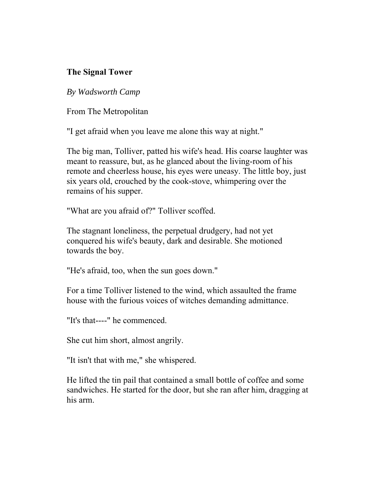## **The Signal Tower**

*By Wadsworth Camp* 

From The Metropolitan

"I get afraid when you leave me alone this way at night."

The big man, Tolliver, patted his wife's head. His coarse laughter was meant to reassure, but, as he glanced about the living-room of his remote and cheerless house, his eyes were uneasy. The little boy, just six years old, crouched by the cook-stove, whimpering over the remains of his supper.

"What are you afraid of?" Tolliver scoffed.

The stagnant loneliness, the perpetual drudgery, had not yet conquered his wife's beauty, dark and desirable. She motioned towards the boy.

"He's afraid, too, when the sun goes down."

For a time Tolliver listened to the wind, which assaulted the frame house with the furious voices of witches demanding admittance.

"It's that----" he commenced.

She cut him short, almost angrily.

"It isn't that with me," she whispered.

He lifted the tin pail that contained a small bottle of coffee and some sandwiches. He started for the door, but she ran after him, dragging at his arm.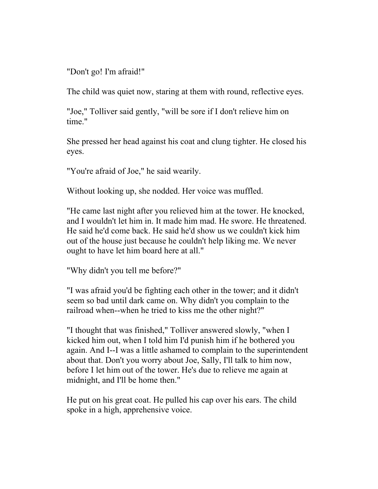"Don't go! I'm afraid!"

The child was quiet now, staring at them with round, reflective eyes.

"Joe," Tolliver said gently, "will be sore if I don't relieve him on time."

She pressed her head against his coat and clung tighter. He closed his eyes.

"You're afraid of Joe," he said wearily.

Without looking up, she nodded. Her voice was muffled.

"He came last night after you relieved him at the tower. He knocked, and I wouldn't let him in. It made him mad. He swore. He threatened. He said he'd come back. He said he'd show us we couldn't kick him out of the house just because he couldn't help liking me. We never ought to have let him board here at all."

"Why didn't you tell me before?"

"I was afraid you'd be fighting each other in the tower; and it didn't seem so bad until dark came on. Why didn't you complain to the railroad when--when he tried to kiss me the other night?"

"I thought that was finished," Tolliver answered slowly, "when I kicked him out, when I told him I'd punish him if he bothered you again. And I--I was a little ashamed to complain to the superintendent about that. Don't you worry about Joe, Sally, I'll talk to him now, before I let him out of the tower. He's due to relieve me again at midnight, and I'll be home then."

He put on his great coat. He pulled his cap over his ears. The child spoke in a high, apprehensive voice.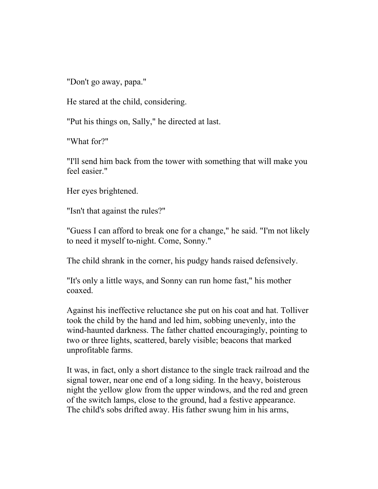"Don't go away, papa."

He stared at the child, considering.

"Put his things on, Sally," he directed at last.

"What for?"

"I'll send him back from the tower with something that will make you feel easier."

Her eyes brightened.

"Isn't that against the rules?"

"Guess I can afford to break one for a change," he said. "I'm not likely to need it myself to-night. Come, Sonny."

The child shrank in the corner, his pudgy hands raised defensively.

"It's only a little ways, and Sonny can run home fast," his mother coaxed.

Against his ineffective reluctance she put on his coat and hat. Tolliver took the child by the hand and led him, sobbing unevenly, into the wind-haunted darkness. The father chatted encouragingly, pointing to two or three lights, scattered, barely visible; beacons that marked unprofitable farms.

It was, in fact, only a short distance to the single track railroad and the signal tower, near one end of a long siding. In the heavy, boisterous night the yellow glow from the upper windows, and the red and green of the switch lamps, close to the ground, had a festive appearance. The child's sobs drifted away. His father swung him in his arms,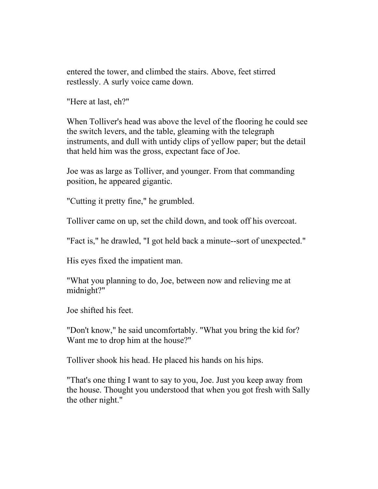entered the tower, and climbed the stairs. Above, feet stirred restlessly. A surly voice came down.

"Here at last, eh?"

When Tolliver's head was above the level of the flooring he could see the switch levers, and the table, gleaming with the telegraph instruments, and dull with untidy clips of yellow paper; but the detail that held him was the gross, expectant face of Joe.

Joe was as large as Tolliver, and younger. From that commanding position, he appeared gigantic.

"Cutting it pretty fine," he grumbled.

Tolliver came on up, set the child down, and took off his overcoat.

"Fact is," he drawled, "I got held back a minute--sort of unexpected."

His eyes fixed the impatient man.

"What you planning to do, Joe, between now and relieving me at midnight?"

Joe shifted his feet.

"Don't know," he said uncomfortably. "What you bring the kid for? Want me to drop him at the house?"

Tolliver shook his head. He placed his hands on his hips.

"That's one thing I want to say to you, Joe. Just you keep away from the house. Thought you understood that when you got fresh with Sally the other night."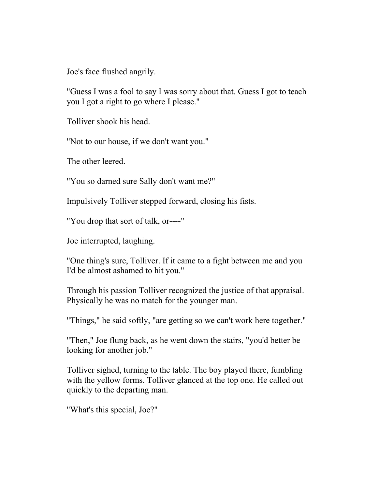Joe's face flushed angrily.

"Guess I was a fool to say I was sorry about that. Guess I got to teach you I got a right to go where I please."

Tolliver shook his head.

"Not to our house, if we don't want you."

The other leered.

"You so darned sure Sally don't want me?"

Impulsively Tolliver stepped forward, closing his fists.

"You drop that sort of talk, or----"

Joe interrupted, laughing.

"One thing's sure, Tolliver. If it came to a fight between me and you I'd be almost ashamed to hit you."

Through his passion Tolliver recognized the justice of that appraisal. Physically he was no match for the younger man.

"Things," he said softly, "are getting so we can't work here together."

"Then," Joe flung back, as he went down the stairs, "you'd better be looking for another job."

Tolliver sighed, turning to the table. The boy played there, fumbling with the yellow forms. Tolliver glanced at the top one. He called out quickly to the departing man.

"What's this special, Joe?"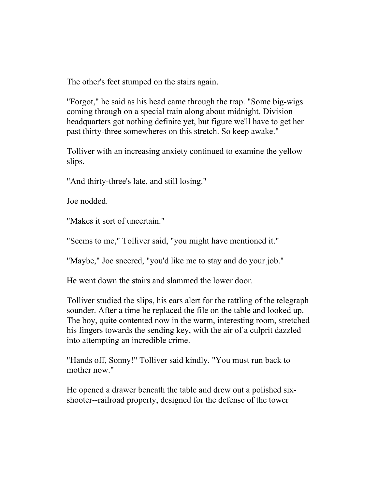The other's feet stumped on the stairs again.

"Forgot," he said as his head came through the trap. "Some big-wigs coming through on a special train along about midnight. Division headquarters got nothing definite yet, but figure we'll have to get her past thirty-three somewheres on this stretch. So keep awake."

Tolliver with an increasing anxiety continued to examine the yellow slips.

"And thirty-three's late, and still losing."

Joe nodded.

"Makes it sort of uncertain."

"Seems to me," Tolliver said, "you might have mentioned it."

"Maybe," Joe sneered, "you'd like me to stay and do your job."

He went down the stairs and slammed the lower door.

Tolliver studied the slips, his ears alert for the rattling of the telegraph sounder. After a time he replaced the file on the table and looked up. The boy, quite contented now in the warm, interesting room, stretched his fingers towards the sending key, with the air of a culprit dazzled into attempting an incredible crime.

"Hands off, Sonny!" Tolliver said kindly. "You must run back to mother now."

He opened a drawer beneath the table and drew out a polished sixshooter--railroad property, designed for the defense of the tower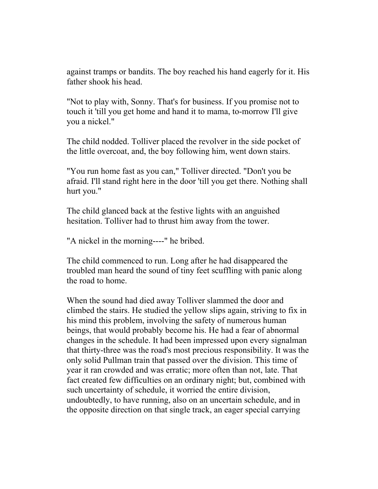against tramps or bandits. The boy reached his hand eagerly for it. His father shook his head.

"Not to play with, Sonny. That's for business. If you promise not to touch it 'till you get home and hand it to mama, to-morrow I'll give you a nickel."

The child nodded. Tolliver placed the revolver in the side pocket of the little overcoat, and, the boy following him, went down stairs.

"You run home fast as you can," Tolliver directed. "Don't you be afraid. I'll stand right here in the door 'till you get there. Nothing shall hurt you."

The child glanced back at the festive lights with an anguished hesitation. Tolliver had to thrust him away from the tower.

"A nickel in the morning----" he bribed.

The child commenced to run. Long after he had disappeared the troubled man heard the sound of tiny feet scuffling with panic along the road to home.

When the sound had died away Tolliver slammed the door and climbed the stairs. He studied the yellow slips again, striving to fix in his mind this problem, involving the safety of numerous human beings, that would probably become his. He had a fear of abnormal changes in the schedule. It had been impressed upon every signalman that thirty-three was the road's most precious responsibility. It was the only solid Pullman train that passed over the division. This time of year it ran crowded and was erratic; more often than not, late. That fact created few difficulties on an ordinary night; but, combined with such uncertainty of schedule, it worried the entire division, undoubtedly, to have running, also on an uncertain schedule, and in the opposite direction on that single track, an eager special carrying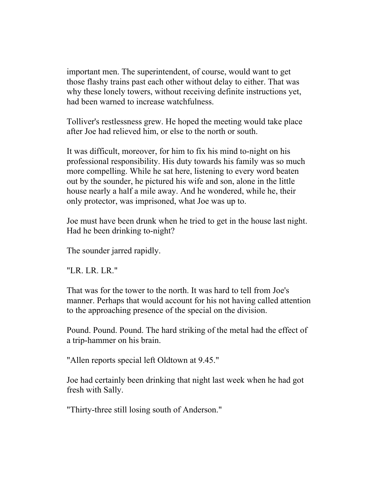important men. The superintendent, of course, would want to get those flashy trains past each other without delay to either. That was why these lonely towers, without receiving definite instructions yet, had been warned to increase watchfulness.

Tolliver's restlessness grew. He hoped the meeting would take place after Joe had relieved him, or else to the north or south.

It was difficult, moreover, for him to fix his mind to-night on his professional responsibility. His duty towards his family was so much more compelling. While he sat here, listening to every word beaten out by the sounder, he pictured his wife and son, alone in the little house nearly a half a mile away. And he wondered, while he, their only protector, was imprisoned, what Joe was up to.

Joe must have been drunk when he tried to get in the house last night. Had he been drinking to-night?

The sounder jarred rapidly.

"LR. LR. LR."

That was for the tower to the north. It was hard to tell from Joe's manner. Perhaps that would account for his not having called attention to the approaching presence of the special on the division.

Pound. Pound. Pound. The hard striking of the metal had the effect of a trip-hammer on his brain.

"Allen reports special left Oldtown at 9.45."

Joe had certainly been drinking that night last week when he had got fresh with Sally.

"Thirty-three still losing south of Anderson."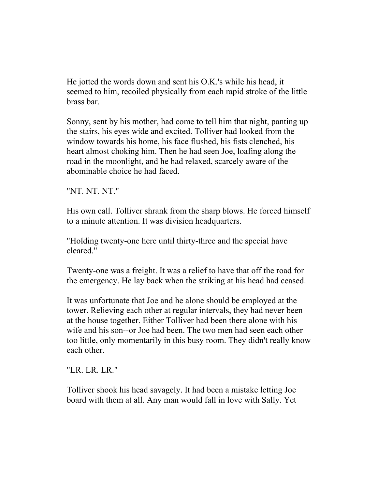He jotted the words down and sent his O.K.'s while his head, it seemed to him, recoiled physically from each rapid stroke of the little brass bar.

Sonny, sent by his mother, had come to tell him that night, panting up the stairs, his eyes wide and excited. Tolliver had looked from the window towards his home, his face flushed, his fists clenched, his heart almost choking him. Then he had seen Joe, loafing along the road in the moonlight, and he had relaxed, scarcely aware of the abominable choice he had faced.

"NT. NT. NT."

His own call. Tolliver shrank from the sharp blows. He forced himself to a minute attention. It was division headquarters.

"Holding twenty-one here until thirty-three and the special have cleared."

Twenty-one was a freight. It was a relief to have that off the road for the emergency. He lay back when the striking at his head had ceased.

It was unfortunate that Joe and he alone should be employed at the tower. Relieving each other at regular intervals, they had never been at the house together. Either Tolliver had been there alone with his wife and his son--or Joe had been. The two men had seen each other too little, only momentarily in this busy room. They didn't really know each other.

"LR. LR. LR."

Tolliver shook his head savagely. It had been a mistake letting Joe board with them at all. Any man would fall in love with Sally. Yet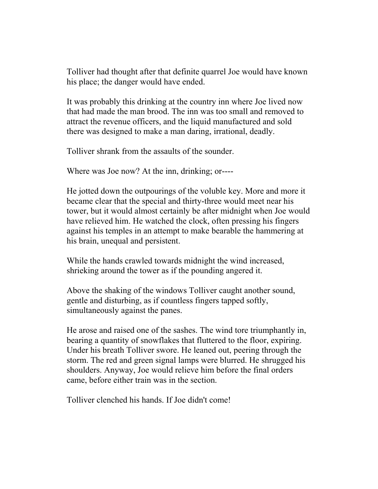Tolliver had thought after that definite quarrel Joe would have known his place; the danger would have ended.

It was probably this drinking at the country inn where Joe lived now that had made the man brood. The inn was too small and removed to attract the revenue officers, and the liquid manufactured and sold there was designed to make a man daring, irrational, deadly.

Tolliver shrank from the assaults of the sounder.

Where was Joe now? At the inn, drinking; or----

He jotted down the outpourings of the voluble key. More and more it became clear that the special and thirty-three would meet near his tower, but it would almost certainly be after midnight when Joe would have relieved him. He watched the clock, often pressing his fingers against his temples in an attempt to make bearable the hammering at his brain, unequal and persistent.

While the hands crawled towards midnight the wind increased, shrieking around the tower as if the pounding angered it.

Above the shaking of the windows Tolliver caught another sound, gentle and disturbing, as if countless fingers tapped softly, simultaneously against the panes.

He arose and raised one of the sashes. The wind tore triumphantly in, bearing a quantity of snowflakes that fluttered to the floor, expiring. Under his breath Tolliver swore. He leaned out, peering through the storm. The red and green signal lamps were blurred. He shrugged his shoulders. Anyway, Joe would relieve him before the final orders came, before either train was in the section.

Tolliver clenched his hands. If Joe didn't come!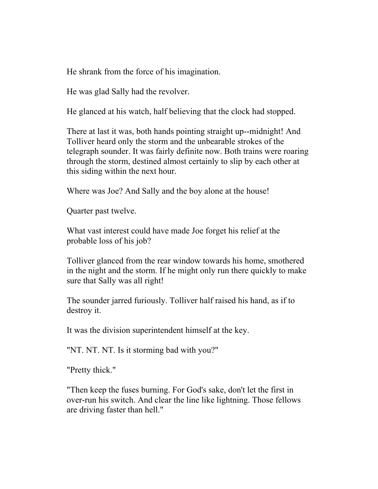He shrank from the force of his imagination.

He was glad Sally had the revolver.

He glanced at his watch, half believing that the clock had stopped.

There at last it was, both hands pointing straight up--midnight! And Tolliver heard only the storm and the unbearable strokes of the telegraph sounder. It was fairly definite now. Both trains were roaring through the storm, destined almost certainly to slip by each other at this siding within the next hour.

Where was Joe? And Sally and the boy alone at the house!

Quarter past twelve.

What vast interest could have made Joe forget his relief at the probable loss of his job?

Tolliver glanced from the rear window towards his home, smothered in the night and the storm. If he might only run there quickly to make sure that Sally was all right!

The sounder jarred furiously. Tolliver half raised his hand, as if to destroy it.

It was the division superintendent himself at the key.

"NT. NT. NT. Is it storming bad with you?"

"Pretty thick."

"Then keep the fuses burning. For God's sake, don't let the first in over-run his switch. And clear the line like lightning. Those fellows are driving faster than hell."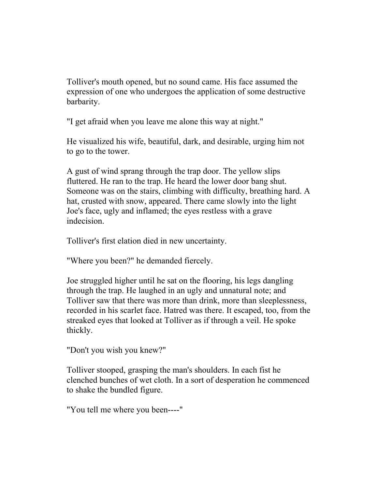Tolliver's mouth opened, but no sound came. His face assumed the expression of one who undergoes the application of some destructive barbarity.

"I get afraid when you leave me alone this way at night."

He visualized his wife, beautiful, dark, and desirable, urging him not to go to the tower.

A gust of wind sprang through the trap door. The yellow slips fluttered. He ran to the trap. He heard the lower door bang shut. Someone was on the stairs, climbing with difficulty, breathing hard. A hat, crusted with snow, appeared. There came slowly into the light Joe's face, ugly and inflamed; the eyes restless with a grave indecision.

Tolliver's first elation died in new uncertainty.

"Where you been?" he demanded fiercely.

Joe struggled higher until he sat on the flooring, his legs dangling through the trap. He laughed in an ugly and unnatural note; and Tolliver saw that there was more than drink, more than sleeplessness, recorded in his scarlet face. Hatred was there. It escaped, too, from the streaked eyes that looked at Tolliver as if through a veil. He spoke thickly.

"Don't you wish you knew?"

Tolliver stooped, grasping the man's shoulders. In each fist he clenched bunches of wet cloth. In a sort of desperation he commenced to shake the bundled figure.

"You tell me where you been----"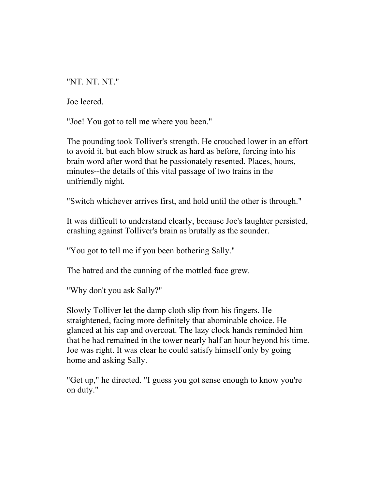"NT. NT. NT."

Joe leered.

"Joe! You got to tell me where you been."

The pounding took Tolliver's strength. He crouched lower in an effort to avoid it, but each blow struck as hard as before, forcing into his brain word after word that he passionately resented. Places, hours, minutes--the details of this vital passage of two trains in the unfriendly night.

"Switch whichever arrives first, and hold until the other is through."

It was difficult to understand clearly, because Joe's laughter persisted, crashing against Tolliver's brain as brutally as the sounder.

"You got to tell me if you been bothering Sally."

The hatred and the cunning of the mottled face grew.

"Why don't you ask Sally?"

Slowly Tolliver let the damp cloth slip from his fingers. He straightened, facing more definitely that abominable choice. He glanced at his cap and overcoat. The lazy clock hands reminded him that he had remained in the tower nearly half an hour beyond his time. Joe was right. It was clear he could satisfy himself only by going home and asking Sally.

"Get up," he directed. "I guess you got sense enough to know you're on duty."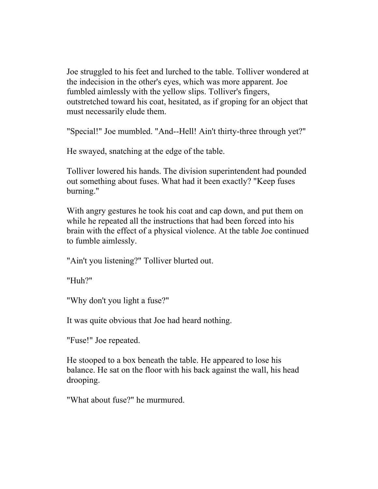Joe struggled to his feet and lurched to the table. Tolliver wondered at the indecision in the other's eyes, which was more apparent. Joe fumbled aimlessly with the yellow slips. Tolliver's fingers, outstretched toward his coat, hesitated, as if groping for an object that must necessarily elude them.

"Special!" Joe mumbled. "And--Hell! Ain't thirty-three through yet?"

He swayed, snatching at the edge of the table.

Tolliver lowered his hands. The division superintendent had pounded out something about fuses. What had it been exactly? "Keep fuses burning."

With angry gestures he took his coat and cap down, and put them on while he repeated all the instructions that had been forced into his brain with the effect of a physical violence. At the table Joe continued to fumble aimlessly.

"Ain't you listening?" Tolliver blurted out.

"Huh?"

"Why don't you light a fuse?"

It was quite obvious that Joe had heard nothing.

"Fuse!" Joe repeated.

He stooped to a box beneath the table. He appeared to lose his balance. He sat on the floor with his back against the wall, his head drooping.

"What about fuse?" he murmured.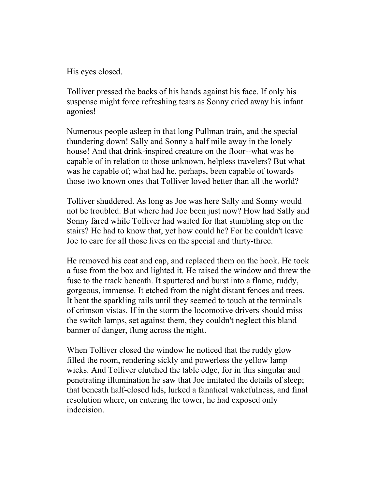His eyes closed.

Tolliver pressed the backs of his hands against his face. If only his suspense might force refreshing tears as Sonny cried away his infant agonies!

Numerous people asleep in that long Pullman train, and the special thundering down! Sally and Sonny a half mile away in the lonely house! And that drink-inspired creature on the floor--what was he capable of in relation to those unknown, helpless travelers? But what was he capable of; what had he, perhaps, been capable of towards those two known ones that Tolliver loved better than all the world?

Tolliver shuddered. As long as Joe was here Sally and Sonny would not be troubled. But where had Joe been just now? How had Sally and Sonny fared while Tolliver had waited for that stumbling step on the stairs? He had to know that, yet how could he? For he couldn't leave Joe to care for all those lives on the special and thirty-three.

He removed his coat and cap, and replaced them on the hook. He took a fuse from the box and lighted it. He raised the window and threw the fuse to the track beneath. It sputtered and burst into a flame, ruddy, gorgeous, immense. It etched from the night distant fences and trees. It bent the sparkling rails until they seemed to touch at the terminals of crimson vistas. If in the storm the locomotive drivers should miss the switch lamps, set against them, they couldn't neglect this bland banner of danger, flung across the night.

When Tolliver closed the window he noticed that the ruddy glow filled the room, rendering sickly and powerless the yellow lamp wicks. And Tolliver clutched the table edge, for in this singular and penetrating illumination he saw that Joe imitated the details of sleep; that beneath half-closed lids, lurked a fanatical wakefulness, and final resolution where, on entering the tower, he had exposed only indecision.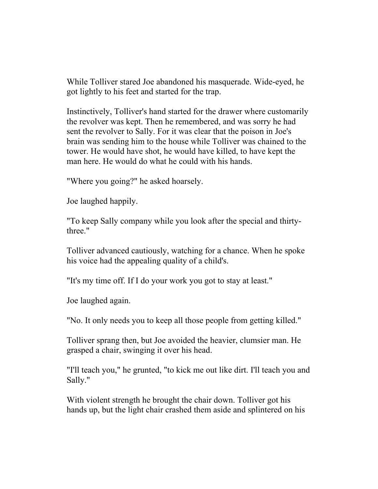While Tolliver stared Joe abandoned his masquerade. Wide-eyed, he got lightly to his feet and started for the trap.

Instinctively, Tolliver's hand started for the drawer where customarily the revolver was kept. Then he remembered, and was sorry he had sent the revolver to Sally. For it was clear that the poison in Joe's brain was sending him to the house while Tolliver was chained to the tower. He would have shot, he would have killed, to have kept the man here. He would do what he could with his hands.

"Where you going?" he asked hoarsely.

Joe laughed happily.

"To keep Sally company while you look after the special and thirtythree."

Tolliver advanced cautiously, watching for a chance. When he spoke his voice had the appealing quality of a child's.

"It's my time off. If I do your work you got to stay at least."

Joe laughed again.

"No. It only needs you to keep all those people from getting killed."

Tolliver sprang then, but Joe avoided the heavier, clumsier man. He grasped a chair, swinging it over his head.

"I'll teach you," he grunted, "to kick me out like dirt. I'll teach you and Sally."

With violent strength he brought the chair down. Tolliver got his hands up, but the light chair crashed them aside and splintered on his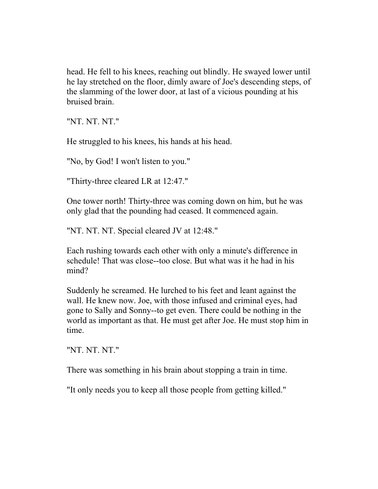head. He fell to his knees, reaching out blindly. He swayed lower until he lay stretched on the floor, dimly aware of Joe's descending steps, of the slamming of the lower door, at last of a vicious pounding at his bruised brain.

"NT. NT. NT."

He struggled to his knees, his hands at his head.

"No, by God! I won't listen to you."

"Thirty-three cleared LR at 12:47."

One tower north! Thirty-three was coming down on him, but he was only glad that the pounding had ceased. It commenced again.

"NT. NT. NT. Special cleared JV at 12:48."

Each rushing towards each other with only a minute's difference in schedule! That was close--too close. But what was it he had in his mind?

Suddenly he screamed. He lurched to his feet and leant against the wall. He knew now. Joe, with those infused and criminal eyes, had gone to Sally and Sonny--to get even. There could be nothing in the world as important as that. He must get after Joe. He must stop him in time.

"NT. NT. NT."

There was something in his brain about stopping a train in time.

"It only needs you to keep all those people from getting killed."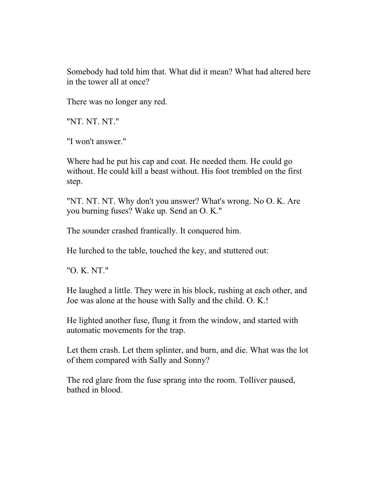Somebody had told him that. What did it mean? What had altered here in the tower all at once?

There was no longer any red.

"NT. NT. NT."

"I won't answer."

Where had he put his cap and coat. He needed them. He could go without. He could kill a beast without. His foot trembled on the first step.

"NT. NT. NT. Why don't you answer? What's wrong. No O. K. Are you burning fuses? Wake up. Send an O. K."

The sounder crashed frantically. It conquered him.

He lurched to the table, touched the key, and stuttered out:

"O. K. NT."

He laughed a little. They were in his block, rushing at each other, and Joe was alone at the house with Sally and the child. O. K.!

He lighted another fuse, flung it from the window, and started with automatic movements for the trap.

Let them crash. Let them splinter, and burn, and die. What was the lot of them compared with Sally and Sonny?

The red glare from the fuse sprang into the room. Tolliver paused, bathed in blood.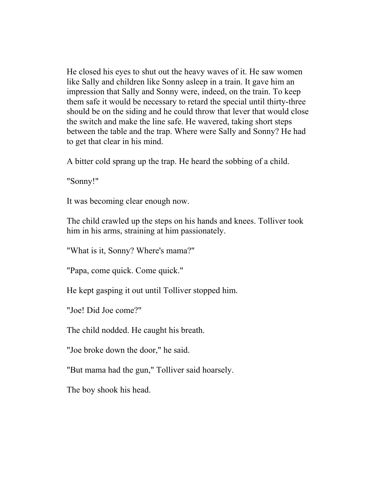He closed his eyes to shut out the heavy waves of it. He saw women like Sally and children like Sonny asleep in a train. It gave him an impression that Sally and Sonny were, indeed, on the train. To keep them safe it would be necessary to retard the special until thirty-three should be on the siding and he could throw that lever that would close the switch and make the line safe. He wavered, taking short steps between the table and the trap. Where were Sally and Sonny? He had to get that clear in his mind.

A bitter cold sprang up the trap. He heard the sobbing of a child.

"Sonny!"

It was becoming clear enough now.

The child crawled up the steps on his hands and knees. Tolliver took him in his arms, straining at him passionately.

"What is it, Sonny? Where's mama?"

"Papa, come quick. Come quick."

He kept gasping it out until Tolliver stopped him.

"Joe! Did Joe come?"

The child nodded. He caught his breath.

"Joe broke down the door," he said.

"But mama had the gun," Tolliver said hoarsely.

The boy shook his head.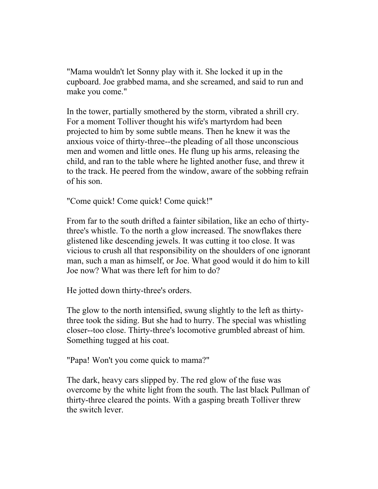"Mama wouldn't let Sonny play with it. She locked it up in the cupboard. Joe grabbed mama, and she screamed, and said to run and make you come."

In the tower, partially smothered by the storm, vibrated a shrill cry. For a moment Tolliver thought his wife's martyrdom had been projected to him by some subtle means. Then he knew it was the anxious voice of thirty-three--the pleading of all those unconscious men and women and little ones. He flung up his arms, releasing the child, and ran to the table where he lighted another fuse, and threw it to the track. He peered from the window, aware of the sobbing refrain of his son.

"Come quick! Come quick! Come quick!"

From far to the south drifted a fainter sibilation, like an echo of thirtythree's whistle. To the north a glow increased. The snowflakes there glistened like descending jewels. It was cutting it too close. It was vicious to crush all that responsibility on the shoulders of one ignorant man, such a man as himself, or Joe. What good would it do him to kill Joe now? What was there left for him to do?

He jotted down thirty-three's orders.

The glow to the north intensified, swung slightly to the left as thirtythree took the siding. But she had to hurry. The special was whistling closer--too close. Thirty-three's locomotive grumbled abreast of him. Something tugged at his coat.

"Papa! Won't you come quick to mama?"

The dark, heavy cars slipped by. The red glow of the fuse was overcome by the white light from the south. The last black Pullman of thirty-three cleared the points. With a gasping breath Tolliver threw the switch lever.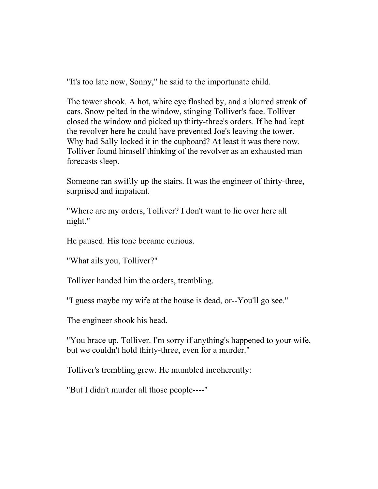"It's too late now, Sonny," he said to the importunate child.

The tower shook. A hot, white eye flashed by, and a blurred streak of cars. Snow pelted in the window, stinging Tolliver's face. Tolliver closed the window and picked up thirty-three's orders. If he had kept the revolver here he could have prevented Joe's leaving the tower. Why had Sally locked it in the cupboard? At least it was there now. Tolliver found himself thinking of the revolver as an exhausted man forecasts sleep.

Someone ran swiftly up the stairs. It was the engineer of thirty-three, surprised and impatient.

"Where are my orders, Tolliver? I don't want to lie over here all night."

He paused. His tone became curious.

"What ails you, Tolliver?"

Tolliver handed him the orders, trembling.

"I guess maybe my wife at the house is dead, or--You'll go see."

The engineer shook his head.

"You brace up, Tolliver. I'm sorry if anything's happened to your wife, but we couldn't hold thirty-three, even for a murder."

Tolliver's trembling grew. He mumbled incoherently:

"But I didn't murder all those people----"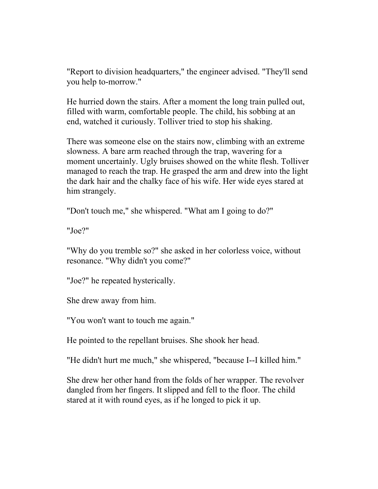"Report to division headquarters," the engineer advised. "They'll send you help to-morrow."

He hurried down the stairs. After a moment the long train pulled out, filled with warm, comfortable people. The child, his sobbing at an end, watched it curiously. Tolliver tried to stop his shaking.

There was someone else on the stairs now, climbing with an extreme slowness. A bare arm reached through the trap, wavering for a moment uncertainly. Ugly bruises showed on the white flesh. Tolliver managed to reach the trap. He grasped the arm and drew into the light the dark hair and the chalky face of his wife. Her wide eyes stared at him strangely.

"Don't touch me," she whispered. "What am I going to do?"

"Joe?"

"Why do you tremble so?" she asked in her colorless voice, without resonance. "Why didn't you come?"

"Joe?" he repeated hysterically.

She drew away from him.

"You won't want to touch me again."

He pointed to the repellant bruises. She shook her head.

"He didn't hurt me much," she whispered, "because I--I killed him."

She drew her other hand from the folds of her wrapper. The revolver dangled from her fingers. It slipped and fell to the floor. The child stared at it with round eyes, as if he longed to pick it up.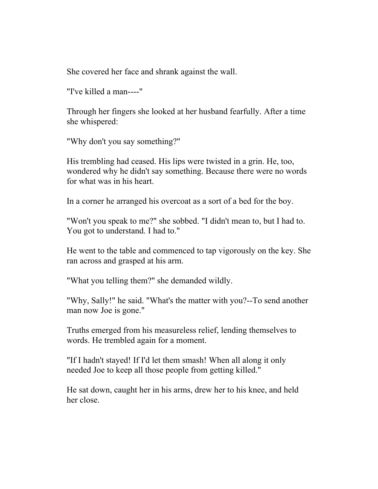She covered her face and shrank against the wall.

"I've killed a man----"

Through her fingers she looked at her husband fearfully. After a time she whispered:

"Why don't you say something?"

His trembling had ceased. His lips were twisted in a grin. He, too, wondered why he didn't say something. Because there were no words for what was in his heart.

In a corner he arranged his overcoat as a sort of a bed for the boy.

"Won't you speak to me?" she sobbed. "I didn't mean to, but I had to. You got to understand. I had to."

He went to the table and commenced to tap vigorously on the key. She ran across and grasped at his arm.

"What you telling them?" she demanded wildly.

"Why, Sally!" he said. "What's the matter with you?--To send another man now Joe is gone."

Truths emerged from his measureless relief, lending themselves to words. He trembled again for a moment.

"If I hadn't stayed! If I'd let them smash! When all along it only needed Joe to keep all those people from getting killed."

He sat down, caught her in his arms, drew her to his knee, and held her close.